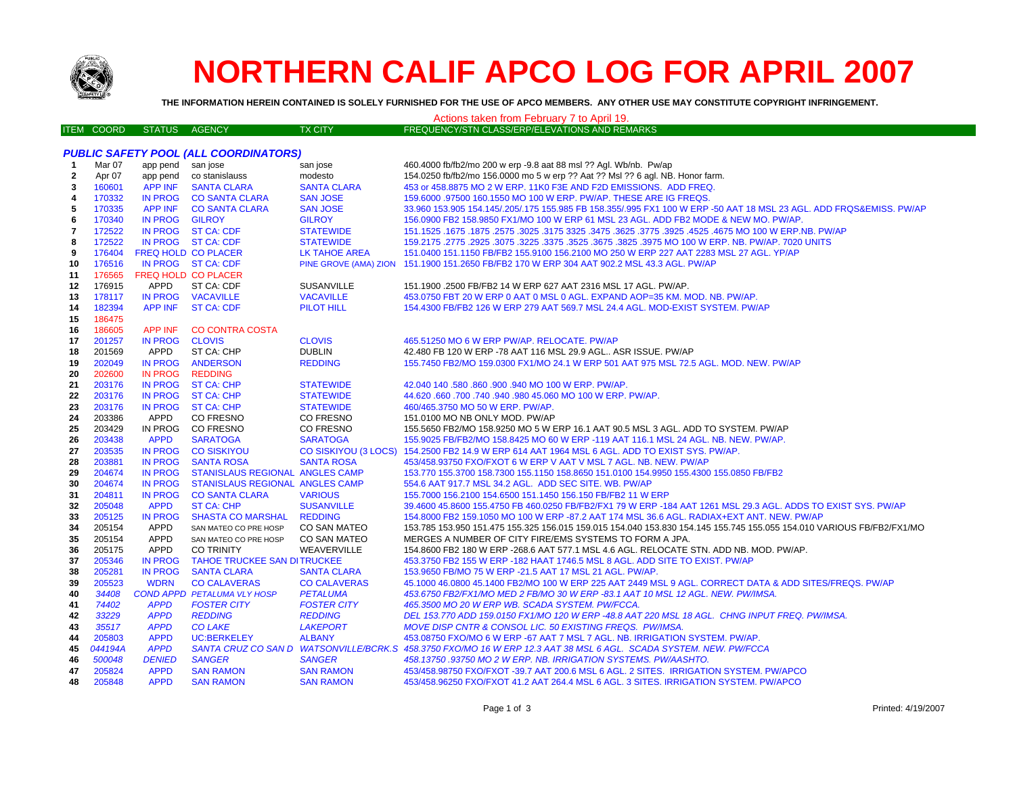

## **NORTHERN CALIF APCO LOG FOR APRIL 2007**

**THE INFORMATION HEREIN CONTAINED IS SOLELY FURNISHED FOR THE USE OF APCO MEMBERS. ANY OTHER USE MAY CONSTITUTE COPYRIGHT INFRINGEMENT.**

## ITEM COORD STATUS AGENCY TX CITY FREQUENCY/STN CLASS/ERP/ELEVATIONS AND REMARKS *PUBLIC SAFETY POOL (ALL COORDINATORS)* **1**Mar 07 app pend san jose san jose san jose 460.4000 fb/fb2/mo 200 w erp -9.8 aat 88 msl ?? Agl. Wb/nb. Pw/ap **2**Apr 07 app pend co stanislauss modesto 154.0250 fb/fb2/mo 156.0000 mo 5 w erp ?? Aat ?? Msl ?? 6 agl. NB. Honor farm.<br>160601 APP INF SANTA CLARA SANTA CLARA 453 or 458.8875 MO 2 W ERP. 11K0 F3E AND F2D EMISSIONS. ADD FREQ. **3** 160601 APP INF SANTA CLARA SANTA CLARA 453 or 458.8875 MO 2 W ERP. 11K0 F3E AND F2D EMISSIONS. ADD FREQ. **4** 170332 IN PROG CO SANTA CLARA SAN JOSE 159.6000 .97500 160.1550 MO 100 W ERP. PW/AP. THESE ARE IG FREQS. **5** 170335 APP INF CO SANTA CLARA SAN JOSE 33.960 153.905 154.145/.205/.175 155.985 FB 158.355/.995 FX1 100 W ERP -50 AAT 18 MSL 23 AGL. ADD FRQS&EMISS. PW/AP **6** 170340 IN PROG GILROY GILROY 156.0900 FB2 158.9850 FX1/MO 100 W ERP 61 MSL 23 AGL. ADD FB2 MODE & NEW MO. PW/AP. **7** 172522 IN PROG ST CA: CDF STATEWIDE 151.1525 .1675 .1875 .2575 .3025 .3175 3325 .3475 .3625 .3775 .3925 .4525 .4675 MO 100 W ERP.NB. PW/AP**8** 172522 IN PROG ST CA: CDF STATEWIDE 159.2175 .2775 .2925 .3075 .3225 .3375 .3525 .3675 .3825 .3975 MO 100 W ERP. NB. PW/AP. 7020 UNITS**9** 176404 FREQ HOLD CO PLACER LK TAHOE AREA 151.0400 151.1150 FB/FB2 155.9100 156.2100 MO 250 W ERP 227 AAT 2283 MSL 27 AGL. YP/AP**10** 176516 IN PROG ST CA: CDF PINE GROVE (AMA) ZION 151.1900 151.2650 FB/FB2 170 W ERP 304 AAT 902.2 MSL 43.3 AGL. PW/AP **11** 176565 FREQ HOLD CO PLACER**12**176915 APPD ST CA: CDF SUSANVILLE 151.1900 .2500 FB/FB2 14 W ERP 627 AAT 2316 MSL 17 AGL. PW/AP. **13** 178117 IN PROG VACAVILLE VACAVILLE 453.0750 FBT 20 W ERP 0 AAT 0 MSL 0 AGL. EXPAND AOP=35 KM. MOD. NB. PW/AP. **14** 182394 APP INF ST CA: CDF PILOT HILL 154.4300 FB/FB2 126 W ERP 279 AAT 569.7 MSL 24.4 AGL. MOD-EXIST SYSTEM. PW/AP **15** 186475 **16** 186605 APP INF CO CONTRA COSTA**17** 201257 IN PROG CLOVIS CLOVIS 465.51250 MO 6 W ERP PW/AP. RELOCATE. PW/AP 201569 APPD ST CA: CHP DUBLIN 42.480 FB 120 W ERP -78 AAT 116 MSL 29.9 AGL.. ASR ISSUE. PW/AP **1819** 202049 IN PROG ANDERSON REDDING 155.7450 FB2/MO 159.0300 FX1/MO 24.1 W ERP 501 AAT 975 MSL 72.5 AGL. MOD. NEW. PW/AP**20** 202600 IN PROG REDDING**21** 203176 IN PROG ST CA: CHP STATEWIDE 42.040 140 .580 .860 .900 .940 MO 100 W ERP. PW/AP. **22** 203176 IN PROG ST CA: CHP STATEWIDE 44.620 .660 .700 .740 .940 .980 45.060 MO 100 W ERP. PW/AP. **23** 203176 IN PROG ST CA: CHP STATEWIDE 460/465.3750 MO 50 W ERP. PW/AP. **24** 203386 APPD CO FRESNO CO FRESNO 151.0100 MO NB ONLY MOD. PW/AP**25** 203429 IN PROG CO FRESNO CO FRESNO 155.5650 FB2/MO 158.9250 MO 5 W ERP 16.1 AAT 90.5 MSL 3 AGL. ADD TO SYSTEM. PW/AP**26** 203438 APPD SARATOGA SARATOGA 155.9025 FB/FB2/MO 158.8425 MO 60 W ERP -119 AAT 116.1 MSL 24 AGL. NB. NEW. PW/AP. **27** 203535 IN PROG CO SISKIYOU CO SISKIYOU (3 LOCS) 154.2500 FB2 14.9 W ERP 614 AAT 1964 MSL 6 AGL. ADD TO EXIST SYS. PW/AP. **28** 203881 IN PROG SANTA ROSA SANTA ROSA 453/458.93750 FXO/FXOT 6 W ERP V AAT V MSL 7 AGL. NB. NEW. PW/AP**29** 204674 IN PROG STANISLAUS REGIONAL ANGLES CAMP 153.770 155.3700 158.7300 155.1150 158.8650 151.0100 154.9950 155.4300 155.0850 FB/FB2 **30** 204674 IN PROG STANISLAUS REGIONAL ANGLES CAMP 554.6 AAT 917.7 MSL 34.2 AGL. ADD SEC SITE. WB. PW/AP**31** 204811 IN PROG CO SANTA CLARA VARIOUS 155.7000 156.2100 154.6500 151.1450 156.150 FB/FB2 11 W ERP **32** 205048 APPD ST CA: CHP SUSANVILLE 39.4600 45.8600 155.4750 FB 460.0250 FB/FB2/FX1 79 W ERP -184 AAT 1261 MSL 29.3 AGL. ADDS TO EXIST SYS. PW/AP **33** 205125 IN PROG SHASTA CO MARSHAL REDDING 154.8000 FB2 159.1050 MO 100 W ERP -87.2 AAT 174 MSL 36.6 AGL. RADIAX+EXT ANT. NEW. PW/AP**34** 205154 APPD SAN MATEO CO PRE HOSP CO SAN MATEO 153.785 153.950 151.475 155.325 156.015 159.015 154.040 153.830 154.145 155.745 155.055 154.010 VARIOUS FB/FB2/FX1/MO**35** 205154 APPDSAN MATEO CO PRE HOSP CO SAN MATEO MERGES A NUMBER OF CITY FIRE/EMS SYSTEMS TO FORM A JPA. **36** 205175 APPD CO TRINITY WEAVERVILLE 154.8600 FB2 180 W ERP -268.6 AAT 577.1 MSL 4.6 AGL. RELOCATE STN. ADD NB. MOD. PW/AP. **37** 205346 IN PROG TAHOE TRUCKEE SAN DITRUCKEE 453.3750 FB2 155 W ERP -182 HAAT 1746.5 MSL 8 AGL. ADD SITE TO EXIST. PW/AP **38** 205281 IN PROG SANTA CLARA SANTA CLARA 153.9650 FB/MO 75 W ERP -21.5 AAT 17 MSL 21 AGL. PW/AP. **39** 205523 WDRN CO CALAVERAS CO CALAVERAS 45.1000 46.0800 45.1400 FB2/MO 100 W ERP 225 AAT 2449 MSL 9 AGL. CORRECT DATA & ADD SITES/FREQS. PW/AP**40** *34408 COND APPD PETALUMA VLY HOSP PETALUMA 453.6750 FB2/FX1/MO MED 2 FB/MO 30 W ERP -83.1 AAT 10 MSL 12 AGL. NEW. PW/IMSA.* **41** *74402 APPD FOSTER CITY FOSTER CITY 465.3500 MO 20 W ERP WB. SCADA SYSTEM. PW/FCCA.* **42** *33229 APPD REDDING REDDING DEL 153.770 ADD 159.0150 FX1/MO 120 W ERP -48.8 AAT 220 MSL 18 AGL. CHNG INPUT FREQ. PW/IMSA.* **43** *35517 APPD CO LAKE LAKEPORT MOVE DISP CNTR & CONSOL LIC. 50 EXISTING FREQS. PW/IMSA.* **44** 205803 APPD UC:BERKELEY ALBANY 453.08750 FXO/MO 6 W ERP -67 AAT 7 MSL 7 AGL. NB. IRRIGATION SYSTEM. PW/AP. **45** *044194A APPD SANTA CRUZ CO SAN D WATSONVILLE/BCRK.S 458.3750 FXO/MO 16 W ERP 12.3 AAT 38 MSL 6 AGL. SCADA SYSTEM. NEW. PW/FCCA***46** *500048 DENIED SANGER SANGER 458.13750 .93750 MO 2 W ERP. NB. IRRIGATION SYSTEMS. PW/AASHTO.* **47** 205824 APPD SAN RAMON SAN RAMON 453/458.98750 FXO/FXOT -39.7 AAT 200.6 MSL 6 AGL. 2 SITES. IRRIGATION SYSTEM. PW/APCO**48** 205848 APPD SAN RAMON SAN RAMON 453/458.96250 FXO/FXOT 41.2 AAT 264.4 MSL 6 AGL. 3 SITES. IRRIGATION SYSTEM. PW/APCO Actions taken from February 7 to April 19.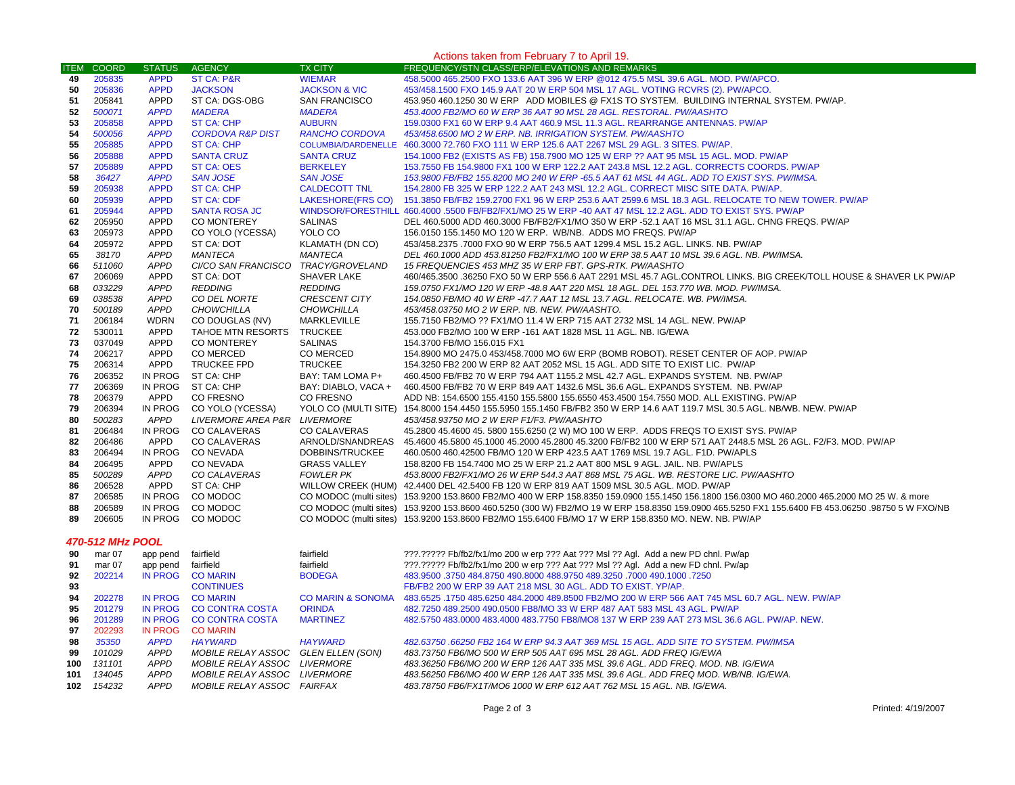| Actions taken from February 7 to April 19 |                  |                            |                                     |                              |                                                                                                                                                                |  |  |  |  |
|-------------------------------------------|------------------|----------------------------|-------------------------------------|------------------------------|----------------------------------------------------------------------------------------------------------------------------------------------------------------|--|--|--|--|
| <b>ITEM</b>                               | <b>COORD</b>     | <b>STATUS</b>              | <b>AGENCY</b>                       | <b>TX CITY</b>               | FREQUENCY/STN CLASS/ERP/ELEVATIONS AND REMARKS                                                                                                                 |  |  |  |  |
| 49                                        | 205835           | <b>APPD</b>                | <b>ST CA: P&amp;R</b>               | <b>WIEMAR</b>                | 458.5000 465.2500 FXO 133.6 AAT 396 W ERP @012 475.5 MSL 39.6 AGL. MOD. PW/APCO.                                                                               |  |  |  |  |
| 50                                        | 205836           | <b>APPD</b>                | <b>JACKSON</b>                      | <b>JACKSON &amp; VIC</b>     | 453/458.1500 FXO 145.9 AAT 20 W ERP 504 MSL 17 AGL. VOTING RCVRS (2). PW/APCO.                                                                                 |  |  |  |  |
| 51                                        | 205841           | <b>APPD</b>                | ST CA: DGS-OBG                      | <b>SAN FRANCISCO</b>         | 453.950 460.1250 30 W ERP ADD MOBILES @ FX1S TO SYSTEM. BUILDING INTERNAL SYSTEM. PW/AP.                                                                       |  |  |  |  |
| 52                                        | 500071           | <b>APPD</b>                | <b>MADERA</b>                       | <b>MADERA</b>                | 453.4000 FB2/MO 60 W ERP 36 AAT 90 MSL 28 AGL. RESTORAL. PW/AASHTO                                                                                             |  |  |  |  |
| 53                                        | 205858           | <b>APPD</b>                | <b>ST CA: CHP</b>                   | <b>AUBURN</b>                | 159.0300 FX1 60 W ERP 9.4 AAT 460.9 MSL 11.3 AGL. REARRANGE ANTENNAS. PW/AP                                                                                    |  |  |  |  |
| 54                                        | 500056           | <b>APPD</b>                | <b>CORDOVA R&amp;P DIST</b>         | <b>RANCHO CORDOVA</b>        | 453/458.6500 MO 2 W ERP. NB. IRRIGATION SYSTEM. PW/AASHTO                                                                                                      |  |  |  |  |
| 55                                        | 205885           | <b>APPD</b>                | ST CA: CHP                          | <b>COLUMBIA/DARDENELLE</b>   | 460.3000 72.760 FXO 111 W ERP 125.6 AAT 2267 MSL 29 AGL. 3 SITES. PW/AP.                                                                                       |  |  |  |  |
| 56                                        | 205888           | <b>APPD</b>                | <b>SANTA CRUZ</b>                   | <b>SANTA CRUZ</b>            | 154.1000 FB2 (EXISTS AS FB) 158.7900 MO 125 W ERP ?? AAT 95 MSL 15 AGL. MOD. PW/AP                                                                             |  |  |  |  |
| 57                                        | 205889           | <b>APPD</b>                | <b>ST CA: OES</b>                   | <b>BERKELEY</b>              | 153.7550 FB 154.9800 FX1 100 W ERP 122.2 AAT 243.8 MSL 12.2 AGL. CORRECTS COORDS. PW/AP                                                                        |  |  |  |  |
| 58                                        | 36427            | <b>APPD</b>                | <b>SAN JOSE</b>                     | <b>SAN JOSE</b>              | 153.9800 FB/FB2 155.8200 MO 240 W ERP -65.5 AAT 61 MSL 44 AGL. ADD TO EXIST SYS. PW/IMSA.                                                                      |  |  |  |  |
| 59                                        | 205938           | <b>APPD</b>                | <b>ST CA: CHP</b>                   | <b>CALDECOTT TNL</b>         | 154.2800 FB 325 W ERP 122.2 AAT 243 MSL 12.2 AGL. CORRECT MISC SITE DATA. PW/AP.                                                                               |  |  |  |  |
| 60                                        | 205939           | <b>APPD</b>                | <b>ST CA: CDF</b>                   | <b>LAKESHORE(FRS CO)</b>     | 151.3850 FB/FB2 159.2700 FX1 96 W ERP 253.6 AAT 2599.6 MSL 18.3 AGL. RELOCATE TO NEW TOWER. PW/AP                                                              |  |  |  |  |
| 61                                        | 205944           | <b>APPD</b>                | <b>SANTA ROSA JC</b>                |                              | WINDSOR/FORESTHILL 460.4000 .5500 FB/FB2/FX1/MO 25 W ERP -40 AAT 47 MSL 12.2 AGL. ADD TO EXIST SYS. PW/AP                                                      |  |  |  |  |
| 62                                        | 205950           | <b>APPD</b>                | CO MONTEREY                         | <b>SALINAS</b>               | DEL 460.5000 ADD 460.3000 FB/FB2/FX1/MO 350 W ERP -52.1 AAT 16 MSL 31.1 AGL. CHNG FREQS. PW/AP                                                                 |  |  |  |  |
| 63                                        | 205973           | <b>APPD</b>                | CO YOLO (YCESSA)                    | YOLO CO                      | 156.0150 155.1450 MO 120 W ERP. WB/NB. ADDS MO FREQS. PW/AP                                                                                                    |  |  |  |  |
| 64                                        | 205972           | <b>APPD</b>                | ST CA: DOT                          | KLAMATH (DN CO)              | 453/458.2375 .7000 FXO 90 W ERP 756.5 AAT 1299.4 MSL 15.2 AGL. LINKS. NB. PW/AP                                                                                |  |  |  |  |
| 65                                        | 38170            | <b>APPD</b>                | MANTECA                             | MANTECA                      | DEL 460.1000 ADD 453.81250 FB2/FX1/MO 100 W ERP 38.5 AAT 10 MSL 39.6 AGL. NB. PW/IMSA.                                                                         |  |  |  |  |
| 66                                        | 511060           | <b>APPD</b>                | CI/CO SAN FRANCISCO                 | TRACY/GROVELAND              | 15 FREQUENCIES 453 MHZ 35 W ERP FBT. GPS-RTK. PW/AASHTO                                                                                                        |  |  |  |  |
| 67                                        | 206069           | <b>APPD</b>                | ST CA: DOT                          | <b>SHAVER LAKE</b>           | 460/465.3500 .36250 FXO 50 W ERP 556.6 AAT 2291 MSL 45.7 AGL.CONTROL LINKS. BIG CREEK/TOLL HOUSE & SHAVER LK PW/AP                                             |  |  |  |  |
| 68                                        | 033229           | <b>APPD</b>                | <b>REDDING</b>                      | <b>REDDING</b>               | 159.0750 FX1/MO 120 W ERP -48.8 AAT 220 MSL 18 AGL. DEL 153.770 WB. MOD. PW/IMSA.                                                                              |  |  |  |  |
| 69                                        | 038538           | <b>APPD</b>                | CO DEL NORTE                        | <b>CRESCENT CITY</b>         | 154.0850 FB/MO 40 W ERP -47.7 AAT 12 MSL 13.7 AGL. RELOCATE. WB. PW/IMSA.                                                                                      |  |  |  |  |
| 70                                        | 500189           | <b>APPD</b>                | <b>CHOWCHILLA</b>                   | CHOWCHILLA                   | 453/458.03750 MO 2 W ERP. NB. NEW. PW/AASHTO.                                                                                                                  |  |  |  |  |
| 71                                        | 206184           | <b>WDRN</b>                | CO DOUGLAS (NV)                     | MARKLEVILLE                  | 155.7150 FB2/MO ?? FX1/MO 11.4 W ERP 715 AAT 2732 MSL 14 AGL. NEW. PW/AP                                                                                       |  |  |  |  |
| 72                                        | 530011           | <b>APPD</b>                | TAHOE MTN RESORTS                   | TRUCKEE                      | 453.000 FB2/MO 100 W ERP -161 AAT 1828 MSL 11 AGL. NB. IG/EWA                                                                                                  |  |  |  |  |
| 73                                        | 037049           | <b>APPD</b><br><b>APPD</b> | CO MONTEREY<br><b>CO MERCED</b>     | <b>SALINAS</b>               | 154.3700 FB/MO 156.015 FX1                                                                                                                                     |  |  |  |  |
| 74<br>75                                  | 206217<br>206314 | APPD                       | <b>TRUCKEE FPD</b>                  | CO MERCED<br><b>TRUCKEE</b>  | 154.8900 MO 2475.0 453/458.7000 MO 6W ERP (BOMB ROBOT). RESET CENTER OF AOP. PW/AP                                                                             |  |  |  |  |
| 76                                        | 206352           | IN PROG                    | ST CA: CHP                          | BAY: TAM LOMA P+             | 154.3250 FB2 200 W ERP 82 AAT 2052 MSL 15 AGL. ADD SITE TO EXIST LIC. PW/AP<br>460.4500 FB/FB2 70 W ERP 794 AAT 1155.2 MSL 42.7 AGL. EXPANDS SYSTEM. NB. PW/AP |  |  |  |  |
| 77                                        | 206369           | IN PROG                    | ST CA: CHP                          | BAY: DIABLO, VACA +          | 460.4500 FB/FB2 70 W ERP 849 AAT 1432.6 MSL 36.6 AGL. EXPANDS SYSTEM. NB. PW/AP                                                                                |  |  |  |  |
| 78                                        | 206379           | APPD                       | CO FRESNO                           | <b>CO FRESNO</b>             | ADD NB: 154.6500 155.4150 155.5800 155.6550 453.4500 154.7550 MOD. ALL EXISTING. PW/AP                                                                         |  |  |  |  |
| 79                                        | 206394           | IN PROG                    | CO YOLO (YCESSA)                    |                              | YOLO CO (MULTI SITE) 154.8000 154.4450 155.5950 155.1450 FB/FB2 350 W ERP 14.6 AAT 119.7 MSL 30.5 AGL. NB/WB. NEW. PW/AP                                       |  |  |  |  |
| 80                                        | 500283           | APPD                       | LIVERMORE AREA P&R LIVERMORE        |                              | 453/458.93750 MO 2 W ERP F1/F3. PW/AASHTO                                                                                                                      |  |  |  |  |
| 81                                        | 206484           | IN PROG                    | <b>CO CALAVERAS</b>                 | CO CALAVERAS                 | 45.2800 45.4600 45. 5800 155.6250 (2 W) MO 100 W ERP. ADDS FREQS TO EXIST SYS. PW/AP                                                                           |  |  |  |  |
| 82                                        | 206486           | APPD                       | <b>CO CALAVERAS</b>                 | ARNOLD/SNANDREAS             | 45.4600 45.5800 45.1000 45.2000 45.2800 45.3200 FB/FB2 100 W ERP 571 AAT 2448.5 MSL 26 AGL. F2/F3. MOD. PW/AP                                                  |  |  |  |  |
| 83                                        | 206494           | IN PROG                    | <b>CO NEVADA</b>                    | DOBBINS/TRUCKEE              | 460.0500 460.42500 FB/MO 120 W ERP 423.5 AAT 1769 MSL 19.7 AGL. F1D. PW/APLS                                                                                   |  |  |  |  |
| 84                                        | 206495           | APPD                       | <b>CO NEVADA</b>                    | <b>GRASS VALLEY</b>          | 158.8200 FB 154.7400 MO 25 W ERP 21.2 AAT 800 MSL 9 AGL. JAIL. NB. PW/APLS                                                                                     |  |  |  |  |
| 85                                        | 500289           | <b>APPD</b>                | CO CALAVERAS                        | <b>FOWLER PK</b>             | 453.8000 FB2/FX1/MO 26 W ERP 544.3 AAT 868 MSL 75 AGL. WB. RESTORE LIC. PW/AASHTO                                                                              |  |  |  |  |
| 86                                        | 206528           | APPD                       | ST CA: CHP                          |                              | WILLOW CREEK (HUM) 42.4400 DEL 42.5400 FB 120 W ERP 819 AAT 1509 MSL 30.5 AGL. MOD. PW/AP                                                                      |  |  |  |  |
| 87                                        | 206585           | IN PROG                    | CO MODOC                            |                              | CO MODOC (multi sites) 153.9200 153.8600 FB2/MO 400 W ERP 158.8350 159.0900 155.1450 156.1800 156.0300 MO 460.2000 465.2000 MO 25 W. & more                    |  |  |  |  |
| 88                                        | 206589           | IN PROG                    | CO MODOC                            |                              | CO MODOC (multi sites) 153.9200 153.8600 460.5250 (300 W) FB2/MO 19 W ERP 158.8350 159.0900 465.5250 FX1 155.6400 FB 453.06250 .98750 5 W FXO/NB               |  |  |  |  |
| 89                                        | 206605           | IN PROG                    | CO MODOC                            |                              | CO MODOC (multi sites) 153.9200 153.8600 FB2/MO 155.6400 FB/MO 17 W ERP 158.8350 MO. NEW. NB. PW/AP                                                            |  |  |  |  |
| 470-512 MHz POOL                          |                  |                            |                                     |                              |                                                                                                                                                                |  |  |  |  |
|                                           |                  |                            |                                     |                              | ???.????? Fb/fb2/fx1/mo 200 w erp ??? Aat ??? Msl ?? Agl. Add a new PD chnl. Pw/ap                                                                             |  |  |  |  |
| 90<br>91                                  | mar 07<br>mar 07 | app pend                   | fairfield<br>fairfield              | fairfield<br>fairfield       | ???.????? Fb/fb2/fx1/mo 200 w erp ??? Aat ??? Msl ?? Agl. Add a new FD chnl. Pw/ap                                                                             |  |  |  |  |
| 92                                        | 202214           | app pend<br>IN PROG        | <b>CO MARIN</b>                     | <b>BODEGA</b>                | 483.9500 .3750 484.8750 490.8000 488.9750 489.3250 .7000 490.1000 .7250                                                                                        |  |  |  |  |
| 93                                        |                  |                            | <b>CONTINUES</b>                    |                              | FB/FB2 200 W ERP 39 AAT 218 MSL 30 AGL. ADD TO EXIST. YP/AP.                                                                                                   |  |  |  |  |
| 94                                        | 202278           | <b>IN PROG</b>             | <b>CO MARIN</b>                     | <b>CO MARIN &amp; SONOMA</b> | 483.6525 .1750 485.6250 484.2000 489.8500 FB2/MO 200 W ERP 566 AAT 745 MSL 60.7 AGL. NEW. PW/AP                                                                |  |  |  |  |
| 95                                        | 201279           | IN PROG                    | <b>CO CONTRA COSTA</b>              | <b>ORINDA</b>                | 482.7250 489.2500 490.0500 FB8/MO 33 W ERP 487 AAT 583 MSL 43 AGL. PW/AP                                                                                       |  |  |  |  |
| 96                                        | 201289           | <b>IN PROG</b>             | <b>CO CONTRA COSTA</b>              | <b>MARTINEZ</b>              | 482.5750 483.0000 483.4000 483.7750 FB8/MO8 137 W ERP 239 AAT 273 MSL 36.6 AGL. PW/AP. NEW.                                                                    |  |  |  |  |
| 97                                        | 202293           | IN PROG                    | <b>CO MARIN</b>                     |                              |                                                                                                                                                                |  |  |  |  |
| 98                                        | 35350            | <b>APPD</b>                | <b>HAYWARD</b>                      | <b>HAYWARD</b>               | 482.63750.66250 FB2 164 W ERP 94.3 AAT 369 MSL 15 AGL. ADD SITE TO SYSTEM. PW/IMSA                                                                             |  |  |  |  |
| 99                                        | 101029           | <b>APPD</b>                | MOBILE RELAY ASSOC GLEN ELLEN (SON) |                              | 483.73750 FB6/MO 500 W ERP 505 AAT 695 MSL 28 AGL. ADD FREQ IG/EWA                                                                                             |  |  |  |  |
| 100                                       | 131101           | <b>APPD</b>                | MOBILE RELAY ASSOC LIVERMORE        |                              | 483.36250 FB6/MO 200 W ERP 126 AAT 335 MSL 39.6 AGL. ADD FREQ. MOD. NB. IG/EWA                                                                                 |  |  |  |  |
| 101                                       | 134045           | <b>APPD</b>                | MOBILE RELAY ASSOC LIVERMORE        |                              | 483.56250 FB6/MO 400 W ERP 126 AAT 335 MSL 39.6 AGL. ADD FREQ MOD. WB/NB. IG/EWA.                                                                              |  |  |  |  |
| 102                                       | 154232           | <b>APPD</b>                | MOBILE RELAY ASSOC FAIRFAX          |                              | 483.78750 FB6/FX1T/MO6 1000 W ERP 612 AAT 762 MSL 15 AGL. NB. IG/EWA.                                                                                          |  |  |  |  |